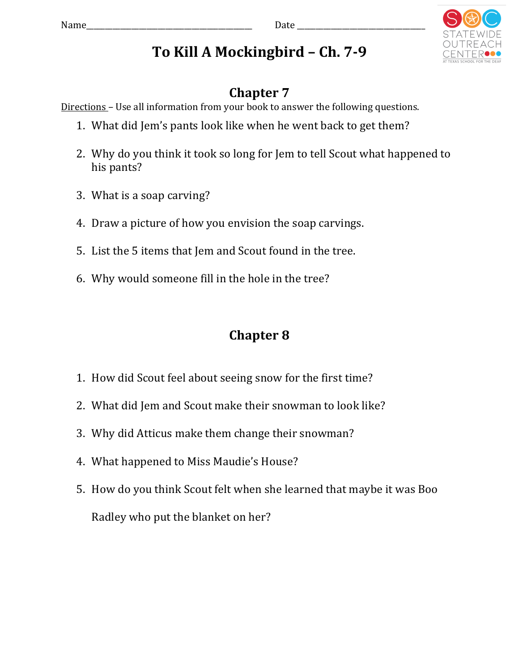

## To Kill A Mockingbird – Ch. 7-9

## **Chapter 7**

Directions – Use all information from your book to answer the following questions.

- 1. What did Jem's pants look like when he went back to get them?
- 2. Why do you think it took so long for Jem to tell Scout what happened to his pants?
- 3. What is a soap carving?
- 4. Draw a picture of how you envision the soap carvings.
- 5. List the 5 items that Jem and Scout found in the tree.
- 6. Why would someone fill in the hole in the tree?

## **Chapter 8**

- 1. How did Scout feel about seeing snow for the first time?
- 2. What did Jem and Scout make their snowman to look like?
- 3. Why did Atticus make them change their snowman?
- 4. What happened to Miss Maudie's House?
- 5. How do you think Scout felt when she learned that maybe it was Boo Radley who put the blanket on her?